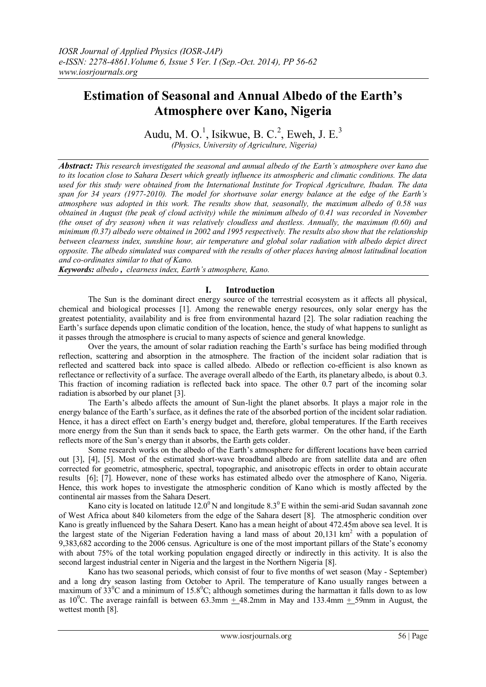# **Estimation of Seasonal and Annual Albedo of the Earth's Atmosphere over Kano, Nigeria**

Audu, M. O.<sup>1</sup>, Isikwue, B. C.<sup>2</sup>, Eweh, J. E.<sup>3</sup> *(Physics, University of Agriculture, Nigeria)*

*Abstract: This research investigated the seasonal and annual albedo of the Earth's atmosphere over kano due to its location close to Sahara Desert which greatly influence its atmospheric and climatic conditions. The data used for this study were obtained from the International Institute for Tropical Agriculture, Ibadan. The data span for 34 years (1977-2010). The model for shortwave solar energy balance at the edge of the Earth's atmosphere was adopted in this work. The results show that, seasonally, the maximum albedo of 0.58 was obtained in August (the peak of cloud activity) while the minimum albedo of 0.41 was recorded in November (the onset of dry season) when it was relatively cloudless and dustless. Annually, the maximum (0.60) and minimum (0.37) albedo were obtained in 2002 and 1995 respectively. The results also show that the relationship between clearness index, sunshine hour, air temperature and global solar radiation with albedo depict direct opposite. The albedo simulated was compared with the results of other places having almost latitudinal location and co-ordinates similar to that of Kano.*

*Keywords: albedo , clearness index, Earth's atmosphere, Kano.*

## **I. Introduction**

The Sun is the dominant direct energy source of the terrestrial ecosystem as it affects all physical, chemical and biological processes [1]. Among the renewable energy resources, only solar energy has the greatest potentiality, availability and is free from environmental hazard [2]. The solar radiation reaching the Earth's surface depends upon climatic condition of the location, hence, the study of what happens to sunlight as it passes through the atmosphere is crucial to many aspects of science and general knowledge.

Over the years, the amount of solar radiation reaching the Earth's surface has being modified through reflection, scattering and absorption in the atmosphere. The fraction of the incident solar radiation that is reflected and scattered back into space is called albedo. Albedo or reflection co-efficient is also known as reflectance or reflectivity of a surface. The average overall albedo of the Earth, its planetary albedo, is about 0.3. This fraction of incoming radiation is reflected back into space. The other 0.7 part of the incoming solar radiation is absorbed by our planet [3].

The Earth's albedo affects the amount of Sun-light the planet absorbs. It plays a major role in the energy balance of the Earth's surface, as it defines the rate of the absorbed portion of the incident solar radiation. Hence, it has a direct effect on Earth's energy budget and, therefore, global temperatures. If the Earth receives more energy from the Sun than it sends back to space, the Earth gets warmer. On the other hand, if the Earth reflects more of the Sun's energy than it absorbs, the Earth gets colder.

Some research works on the albedo of the Earth's atmosphere for different locations have been carried out [3], [4], [5]. Most of the estimated short-wave broadband albedo are from satellite data and are often corrected for geometric, atmospheric, spectral, topographic, and anisotropic effects in order to obtain accurate results [6]; [7]. However, none of these works has estimated albedo over the atmosphere of Kano, Nigeria. Hence, this work hopes to investigate the atmospheric condition of Kano which is mostly affected by the continental air masses from the Sahara Desert.

Kano city is located on latitude 12.0<sup>0</sup> N and longitude  $8.3^{\circ}$  E within the semi-arid Sudan savannah zone of West Africa about 840 kilometers from the edge of the Sahara desert [8]. The atmospheric condition over Kano is greatly influenced by the Sahara Desert. Kano has a mean height of about 472.45m above sea level. It is the largest state of the Nigerian Federation having a land mass of about  $20,131 \text{ km}^2$  with a population of 9,383,682 according to the 2006 census. Agriculture is one of the most important pillars of the State's economy with about 75% of the total working population engaged directly or indirectly in this activity. It is also the second largest industrial center in Nigeria and the largest in the Northern Nigeria [8].

Kano has two seasonal periods, which consist of four to five months of wet season (May - September) and a long dry season lasting from October to April. The temperature of Kano usually ranges between a maximum of  $33^{\circ}$ C and a minimum of  $15.8^{\circ}$ C; although sometimes during the harmattan it falls down to as low as  $10^{\circ}$ C. The average rainfall is between 63.3mm + 48.2mm in May and 133.4mm + 59mm in August, the wettest month [8].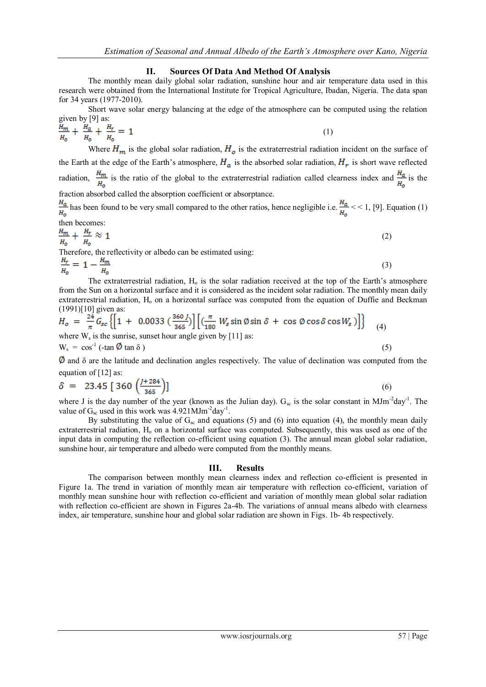## **II. Sources Of Data And Method Of Analysis**

The monthly mean daily global solar radiation, sunshine hour and air temperature data used in this research were obtained from the International Institute for Tropical Agriculture, Ibadan, Nigeria. The data span for 34 years (1977-2010).

Short wave solar energy balancing at the edge of the atmosphere can be computed using the relation given by [9] as:

$$
\frac{H_m}{H_o} + \frac{H_a}{H_o} + \frac{H_r}{H_o} = 1\tag{1}
$$

Where  $H_m$  is the global solar radiation,  $H_o$  is the extraterrestrial radiation incident on the surface of the Earth at the edge of the Earth's atmosphere,  $H_a$  is the absorbed solar radiation,  $H_r$  is short wave reflected radiation,  $\frac{H_m}{H_0}$  is the ratio of the global to the extraterrestrial radiation called clearness index and  $\frac{H_a}{H_0}$  is the fraction absorbed called the absorption coefficient or absorptance.

 $\frac{H_a}{H_0}$  has been found to be very small compared to the other ratios, hence negligible i.e.  $\frac{H_a}{H_0}$  < 1, [9]. Equation (1) then becomes:

$$
\frac{H_m}{H_0} + \frac{H_r}{H_0} \approx 1\tag{2}
$$

Therefore, the reflectivity or albedo can be estimated using:

$$
\frac{H_r}{H_0} = 1 - \frac{H_m}{H_0} \tag{3}
$$

The extraterrestrial radiation,  $H_0$  is the solar radiation received at the top of the Earth's atmosphere from the Sun on a horizontal surface and it is considered as the incident solar radiation. The monthly mean daily extraterrestrial radiation. H<sub>o</sub> on a horizontal surface was computed from the equation of Duffie and Beckman (1991)[10] given as:

$$
H_o = \frac{24}{\pi} G_{sc} \left\{ \left[ 1 + 0.0033 \left( \frac{360 \text{ J}}{365} \right) \right] \left[ \left( \frac{\pi}{180} W_s \sin \emptyset \sin \delta + \cos \emptyset \cos \delta \cos W_s \right) \right] \right\}
$$
 (4)  
where W<sub>s</sub> is the sumrise, sunset hour angle given by [11] as:  
W<sub>s</sub> = cos<sup>-1</sup> (-tan  $\emptyset$  tan  $\delta$ ) (5)

 $\phi$  and  $\delta$  are the latitude and declination angles respectively. The value of declination was computed from the equation of [12] as:

$$
\delta = 23.45 [360 \left( \frac{J+284}{365} \right)] \tag{6}
$$

where J is the day number of the year (known as the Julian day).  $G_{sc}$  is the solar constant in MJm<sup>-2</sup>day<sup>-1</sup>. The value of  $G_{sc}$  used in this work was 4.921MJm<sup>-2</sup>day<sup>-1</sup>.

By substituting the value of  $G_{\rm sc}$  and equations (5) and (6) into equation (4), the monthly mean daily extraterrestrial radiation, H<sub>o</sub> on a horizontal surface was computed. Subsequently, this was used as one of the input data in computing the reflection co-efficient using equation (3). The annual mean global solar radiation, sunshine hour, air temperature and albedo were computed from the monthly means.

#### **III. Results**

The comparison between monthly mean clearness index and reflection co-efficient is presented in Figure 1a. The trend in variation of monthly mean air temperature with reflection co-efficient, variation of monthly mean sunshine hour with reflection co-efficient and variation of monthly mean global solar radiation with reflection co-efficient are shown in Figures 2a-4b. The variations of annual means albedo with clearness index, air temperature, sunshine hour and global solar radiation are shown in Figs. 1b- 4b respectively.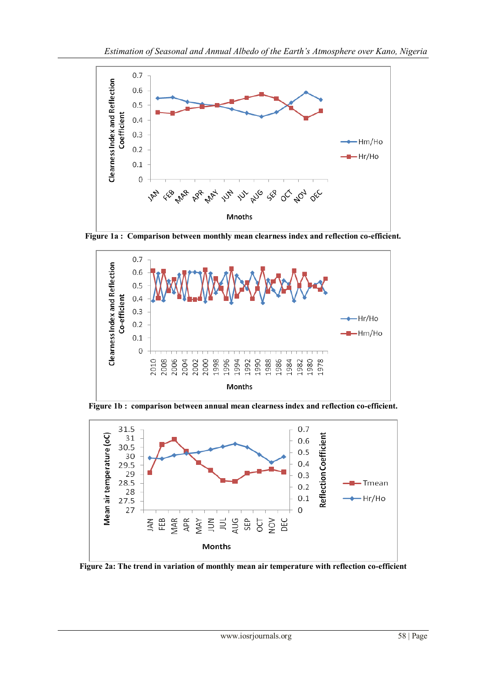

**Figure 1a : Comparison between monthly mean clearness index and reflection co-efficient.**



**Figure 1b : comparison between annual mean clearness index and reflection co-efficient.**



**Figure 2a: The trend in variation of monthly mean air temperature with reflection co-efficient**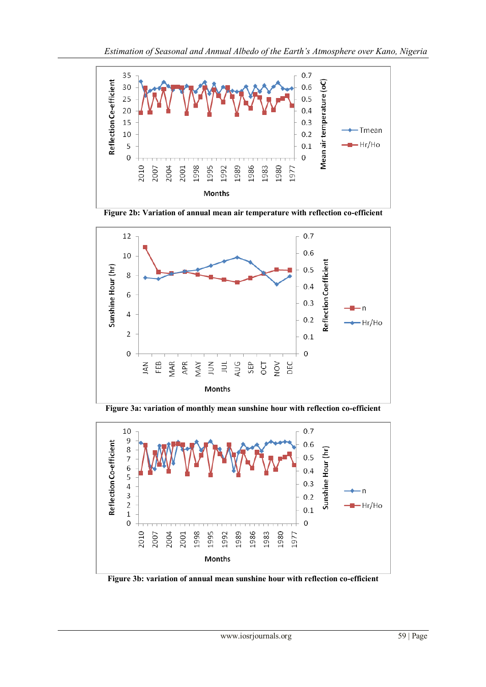

**Figure 2b: Variation of annual mean air temperature with reflection co-efficient**



**Figure 3a: variation of monthly mean sunshine hour with reflection co-efficient**



**Figure 3b: variation of annual mean sunshine hour with reflection co-efficient**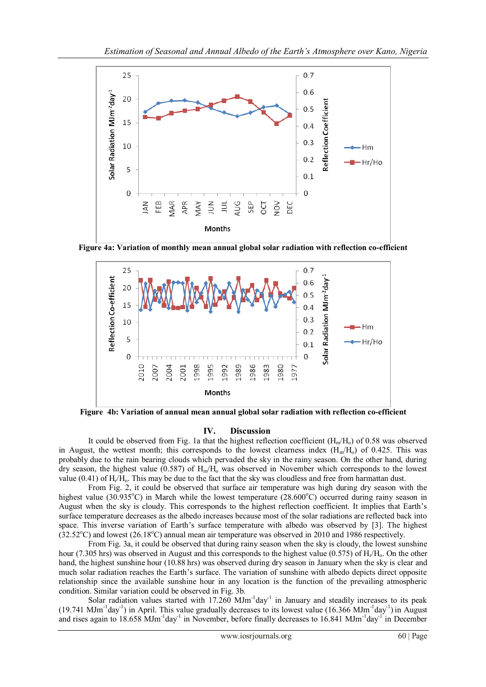

**Figure 4a: Variation of monthly mean annual global solar radiation with reflection co-efficient**



**Figure 4b: Variation of annual mean annual global solar radiation with reflection co-efficient**

## **IV. Discussion**

It could be observed from Fig. 1a that the highest reflection coefficient  $(H_m/H_0)$  of 0.58 was observed in August, the wettest month; this corresponds to the lowest clearness index  $(H_m/H_o)$  of 0.425. This was probably due to the rain bearing clouds which pervaded the sky in the rainy season. On the other hand, during dry season, the highest value (0.587) of  $H_m/H_0$  was observed in November which corresponds to the lowest value  $(0.41)$  of  $H_r/H_o$ . This may be due to the fact that the sky was cloudless and free from harmattan dust.

From Fig. 2, it could be observed that surface air temperature was high during dry season with the highest value (30.935 $^{\circ}$ C) in March while the lowest temperature (28.600 $^{\circ}$ C) occurred during rainy season in August when the sky is cloudy. This corresponds to the highest reflection coefficient. It implies that Earth's surface temperature decreases as the albedo increases because most of the solar radiations are reflected back into space. This inverse variation of Earth's surface temperature with albedo was observed by [3]. The highest  $(32.52^{\circ}C)$  and lowest  $(26.18^{\circ}C)$  annual mean air temperature was observed in 2010 and 1986 respectively.

From Fig. 3a, it could be observed that during rainy season when the sky is cloudy, the lowest sunshine hour (7.305 hrs) was observed in August and this corresponds to the highest value (0.575) of  $H_r/H_o$ . On the other hand, the highest sunshine hour (10.88 hrs) was observed during dry season in January when the sky is clear and much solar radiation reaches the Earth's surface. The variation of sunshine with albedo depicts direct opposite relationship since the available sunshine hour in any location is the function of the prevailing atmospheric condition. Similar variation could be observed in Fig. 3b.

Solar radiation values started with  $17.260$  MJm<sup>-1</sup>day<sup>-1</sup> in January and steadily increases to its peak  $(19.741 \text{ MJm}^{-1}$ day<sup>-1</sup>) in April. This value gradually decreases to its lowest value  $(16.366 \text{ MJm}^{-1}$ day<sup>-1</sup>) in August and rises again to 18.658 MJm<sup>-1</sup>day<sup>-1</sup> in November, before finally decreases to 16.841 MJm<sup>-1</sup>day<sup>-1</sup> in December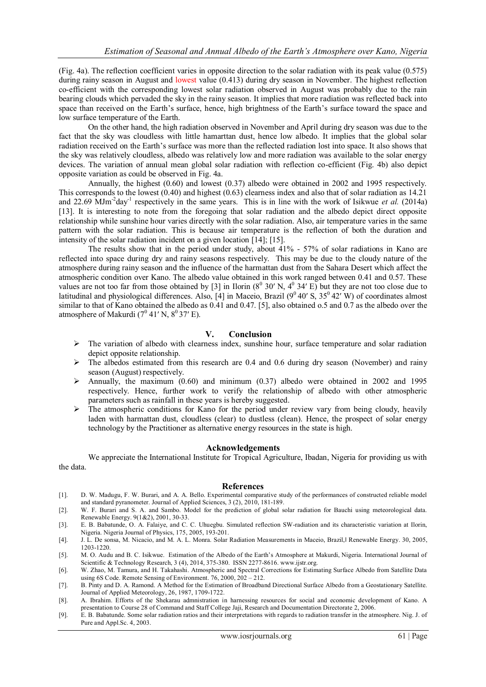(Fig. 4a). The reflection coefficient varies in opposite direction to the solar radiation with its peak value (0.575) during rainy season in August and lowest value (0.413) during dry season in November. The highest reflection co-efficient with the corresponding lowest solar radiation observed in August was probably due to the rain bearing clouds which pervaded the sky in the rainy season. It implies that more radiation was reflected back into space than received on the Earth's surface, hence, high brightness of the Earth's surface toward the space and low surface temperature of the Earth.

On the other hand, the high radiation observed in November and April during dry season was due to the fact that the sky was cloudless with little hamarttan dust, hence low albedo. It implies that the global solar radiation received on the Earth's surface was more than the reflected radiation lost into space. It also shows that the sky was relatively cloudless, albedo was relatively low and more radiation was available to the solar energy devices. The variation of annual mean global solar radiation with reflection co-efficient (Fig. 4b) also depict opposite variation as could be observed in Fig. 4a.

Annually, the highest (0.60) and lowest (0.37) albedo were obtained in 2002 and 1995 respectively. This corresponds to the lowest (0.40) and highest (0.63) clearness index and also that of solar radiation as 14.21 and 22.69 MJm<sup>-2</sup>day<sup>-1</sup> respectively in the same years. This is in line with the work of Isikwue *et al.* (2014a) [13]. It is interesting to note from the foregoing that solar radiation and the albedo depict direct opposite relationship while sunshine hour varies directly with the solar radiation. Also, air temperature varies in the same pattern with the solar radiation. This is because air temperature is the reflection of both the duration and intensity of the solar radiation incident on a given location [14]; [15].

The results show that in the period under study, about 41% - 57% of solar radiations in Kano are reflected into space during dry and rainy seasons respectively. This may be due to the cloudy nature of the atmosphere during rainy season and the influence of the harmattan dust from the Sahara Desert which affect the atmospheric condition over Kano. The albedo value obtained in this work ranged between 0.41 and 0.57. These values are not too far from those obtained by [3] in Ilorin  $(8^0 30' N, 4^0 34' E)$  but they are not too close due to latitudinal and physiological differences. Also, [4] in Maceio, Brazil ( $9^0$  40' S,  $35^0$  42' W) of coordinates almost similar to that of Kano obtained the albedo as 0.41 and 0.47. [5], also obtained o.5 and 0.7 as the albedo over the atmosphere of Makurdi  $(7^0 41' N, 8^0 37' E)$ .

## **V. Conclusion**

- $\triangleright$  The variation of albedo with clearness index, sunshine hour, surface temperature and solar radiation depict opposite relationship.
- $\triangleright$  The albedos estimated from this research are 0.4 and 0.6 during dry season (November) and rainy season (August) respectively.
- $\triangleright$  Annually, the maximum (0.60) and minimum (0.37) albedo were obtained in 2002 and 1995 respectively. Hence, further work to verify the relationship of albedo with other atmospheric parameters such as rainfall in these years is hereby suggested.
- $\triangleright$  The atmospheric conditions for Kano for the period under review vary from being cloudy, heavily laden with harmattan dust, cloudless (clear) to dustless (clean). Hence, the prospect of solar energy technology by the Practitioner as alternative energy resources in the state is high.

### **Acknowledgements**

We appreciate the International Institute for Tropical Agriculture, Ibadan, Nigeria for providing us with the data.

## **References**

- [1]. D. W. Madugu, F. W. Burari, and A. A. Bello. Experimental comparative study of the performances of constructed reliable model and standard pyranometer. Journal of Applied Sciences, 3 (2), 2010, 181-189.
- [2]. W. F. Burari and S. A. and Sambo. Model for the prediction of global solar radiation for Bauchi using meteorological data. Renewable Energy. 9(1&2), 2001, 30-33.
- [3]. E. B. Babatunde, O. A. Falaiye, and C. C. Uhuegbu. Simulated reflection SW-radiation and its characteristic variation at Ilorin, Nigeria. Nigeria Journal of Physics, 175, 2005, 193-201.
- [4]. J. L. De sonsa, M. Nicacio, and M. A. L. Monra. Solar Radiation Measurements in Maceio, Brazil, Renewable Energy. 30, 2005, 1203-1220.
- [5]. M. O. Audu and B. C. Isikwue. Estimation of the Albedo of the Earth's Atmosphere at Makurdi, Nigeria. International Journal of Scientific & Technology Research, 3 (4), 2014, 375-380. ISSN 2277-8616. www.ijstr.org.
- [6]. W. Zhao, M. Tamura, and H. Takahashi. Atmospheric and Spectral Corrections for Estimating Surface Albedo from Satellite Data using 6S Code. Remote Sensing of Environment. 76, 2000, 202 – 212.
- [7]. B. Pinty and D. A. Ramond. A Method for the Estimation of Broadband Directional Surface Albedo from a Geostationary Satellite. Journal of Applied Meteorology, 26, 1987, 1709-1722.
- [8]. A. Ibrahim. Efforts of the Shekarau admnistration in harnessing resources for social and economic development of Kano. A presentation to Course 28 of Command and Staff College Jaji, Research and Documentation Directorate 2, 2006.
- [9]. E. B. Babatunde. Some solar radiation ratios and their interpretations with regards to radiation transfer in the atmosphere. Nig. J. of Pure and Appl.Sc. 4, 2003.